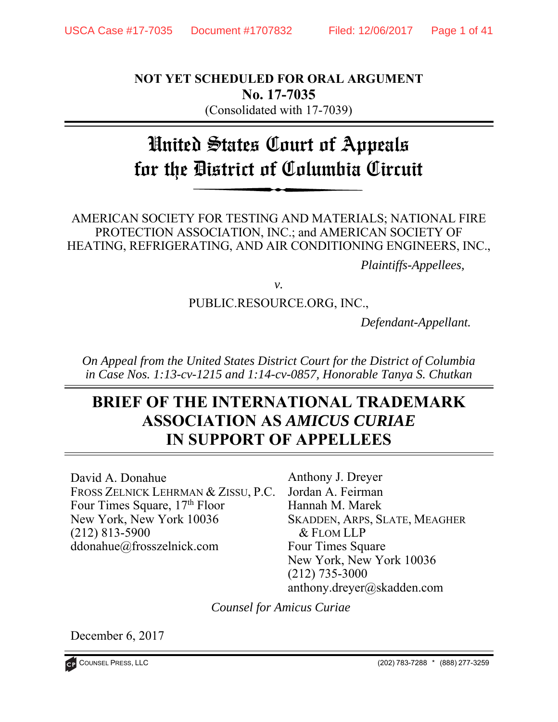**NOT YET SCHEDULED FOR ORAL ARGUMENT No. 17-7035**  (Consolidated with 17-7039)

# United States Court of Appeals for the District of Columbia Circuit

AMERICAN SOCIETY FOR TESTING AND MATERIALS; NATIONAL FIRE PROTECTION ASSOCIATION, INC.; and AMERICAN SOCIETY OF HEATING, REFRIGERATING, AND AIR CONDITIONING ENGINEERS, INC.,

 *Plaintiffs-Appellees,* 

*v.* 

PUBLIC.RESOURCE.ORG, INC.,

 *Defendant-Appellant.* 

*On Appeal from the United States District Court for the District of Columbia in Case Nos. 1:13-cv-1215 and 1:14-cv-0857, Honorable Tanya S. Chutkan* 

# **BRIEF OF THE INTERNATIONAL TRADEMARK ASSOCIATION AS** *AMICUS CURIAE* **IN SUPPORT OF APPELLEES**

David A. Donahue FROSS ZELNICK LEHRMAN & ZISSU, P.C. Four Times Square, 17<sup>th</sup> Floor New York, New York 10036 (212) 813-5900 ddonahue@frosszelnick.com

Anthony J. Dreyer Jordan A. Feirman Hannah M. Marek SKADDEN, ARPS, SLATE, MEAGHER & FLOM LLP Four Times Square New York, New York 10036 (212) 735-3000 anthony.dreyer@skadden.com

*Counsel for Amicus Curiae* 

December 6, 2017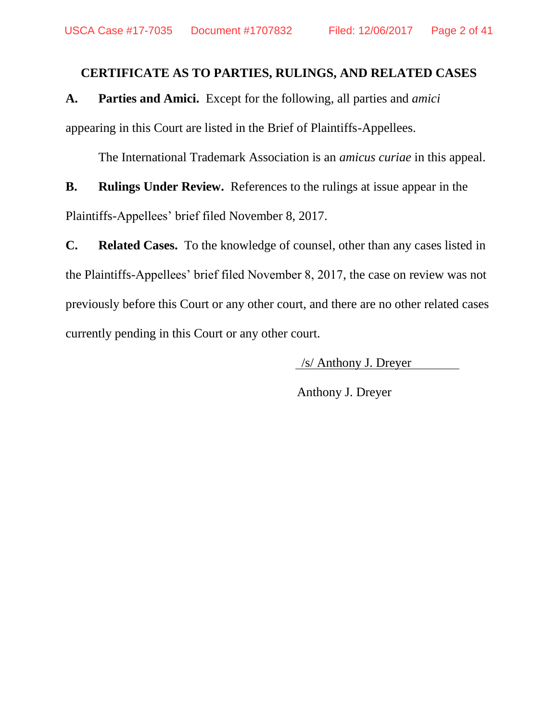#### **CERTIFICATE AS TO PARTIES, RULINGS, AND RELATED CASES**

**A. Parties and Amici.** Except for the following, all parties and *amici* appearing in this Court are listed in the Brief of Plaintiffs-Appellees.

The International Trademark Association is an *amicus curiae* in this appeal.

**B. Rulings Under Review.** References to the rulings at issue appear in the Plaintiffs-Appellees' brief filed November 8, 2017.

**C. Related Cases.** To the knowledge of counsel, other than any cases listed in the Plaintiffs-Appellees' brief filed November 8, 2017, the case on review was not previously before this Court or any other court, and there are no other related cases currently pending in this Court or any other court.

/s/ Anthony J. Dreyer

Anthony J. Dreyer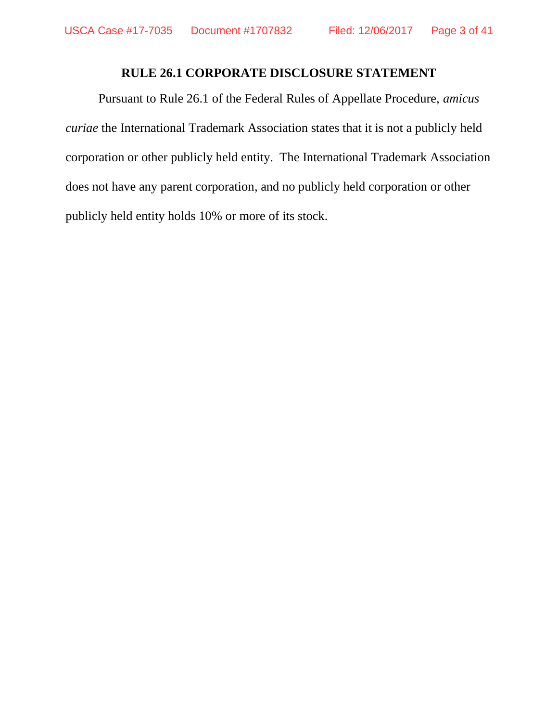# **RULE 26.1 CORPORATE DISCLOSURE STATEMENT**

Pursuant to Rule 26.1 of the Federal Rules of Appellate Procedure, *amicus curiae* the International Trademark Association states that it is not a publicly held corporation or other publicly held entity. The International Trademark Association does not have any parent corporation, and no publicly held corporation or other publicly held entity holds 10% or more of its stock.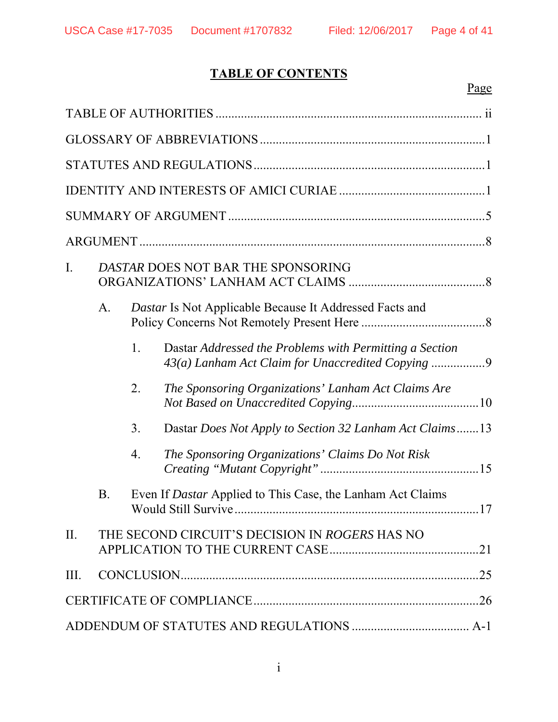# **TABLE OF CONTENTS**

| DASTAR DOES NOT BAR THE SPONSORING<br>Ι. |                                                               |    |                                                                                                              |  |  |
|------------------------------------------|---------------------------------------------------------------|----|--------------------------------------------------------------------------------------------------------------|--|--|
|                                          | Dastar Is Not Applicable Because It Addressed Facts and<br>A. |    |                                                                                                              |  |  |
|                                          |                                                               | 1. | Dastar Addressed the Problems with Permitting a Section<br>43(a) Lanham Act Claim for Unaccredited Copying 9 |  |  |
|                                          |                                                               | 2. | The Sponsoring Organizations' Lanham Act Claims Are                                                          |  |  |
|                                          |                                                               | 3. | Dastar Does Not Apply to Section 32 Lanham Act Claims13                                                      |  |  |
|                                          |                                                               | 4. | The Sponsoring Organizations' Claims Do Not Risk                                                             |  |  |
|                                          | B.                                                            |    | Even If Dastar Applied to This Case, the Lanham Act Claims<br><b>Would Still Survive</b><br>17               |  |  |
| II.                                      |                                                               |    | THE SECOND CIRCUIT'S DECISION IN ROGERS HAS NO                                                               |  |  |
| Ш.                                       |                                                               |    |                                                                                                              |  |  |
|                                          |                                                               |    |                                                                                                              |  |  |
|                                          |                                                               |    |                                                                                                              |  |  |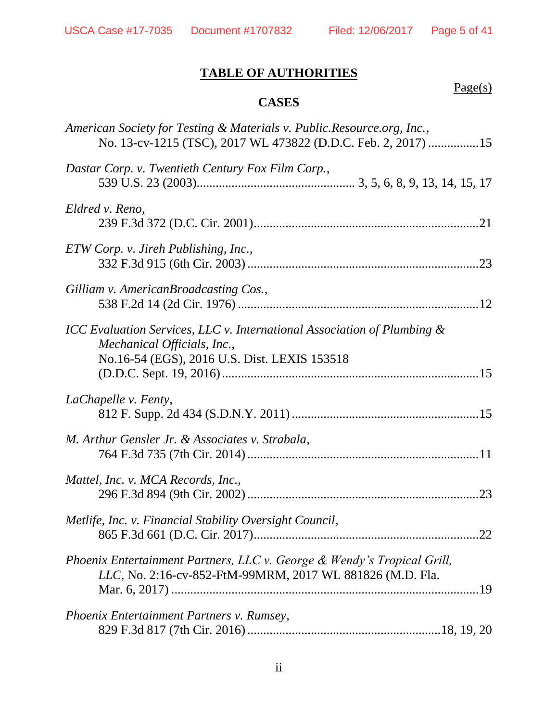# **TABLE OF AUTHORITIES**

**CASES**

# Page(s)

| American Society for Testing & Materials v. Public. Resource.org, Inc.,<br>No. 13-cv-1215 (TSC), 2017 WL 473822 (D.D.C. Feb. 2, 2017) 15               |
|--------------------------------------------------------------------------------------------------------------------------------------------------------|
| Dastar Corp. v. Twentieth Century Fox Film Corp.,                                                                                                      |
| Eldred v. Reno,                                                                                                                                        |
| ETW Corp. v. Jireh Publishing, Inc.,                                                                                                                   |
| Gilliam v. AmericanBroadcasting Cos.,                                                                                                                  |
| ICC Evaluation Services, LLC v. International Association of Plumbing &<br>Mechanical Officials, Inc.,<br>No.16-54 (EGS), 2016 U.S. Dist. LEXIS 153518 |
| LaChapelle v. Fenty,                                                                                                                                   |
| M. Arthur Gensler Jr. & Associates v. Strabala,                                                                                                        |
| Mattel, Inc. v. MCA Records, Inc.,                                                                                                                     |
| Metlife, Inc. v. Financial Stability Oversight Council,<br>.22                                                                                         |
| Phoenix Entertainment Partners, LLC v. George & Wendy's Tropical Grill,<br>LLC, No. 2:16-cv-852-FtM-99MRM, 2017 WL 881826 (M.D. Fla.                   |
| Phoenix Entertainment Partners v. Rumsey,                                                                                                              |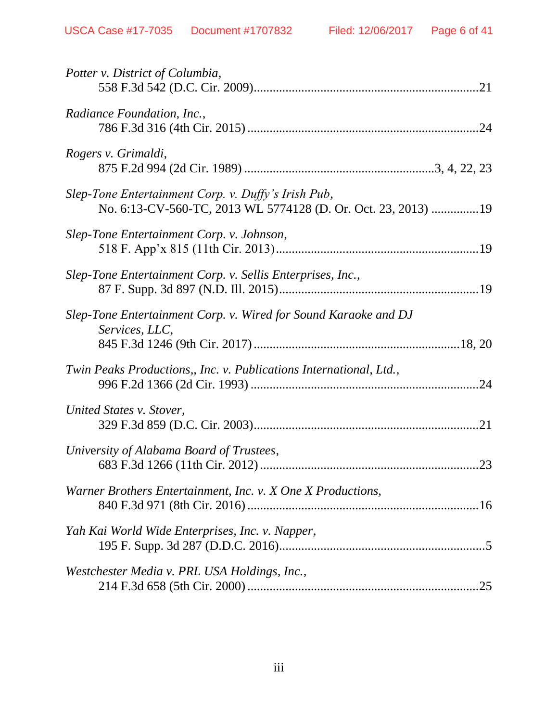| Potter v. District of Columbia,                                                                                      |
|----------------------------------------------------------------------------------------------------------------------|
| Radiance Foundation, Inc.,                                                                                           |
| Rogers v. Grimaldi,                                                                                                  |
| Slep-Tone Entertainment Corp. v. Duffy's Irish Pub,<br>No. 6:13-CV-560-TC, 2013 WL 5774128 (D. Or. Oct. 23, 2013) 19 |
| Slep-Tone Entertainment Corp. v. Johnson,                                                                            |
| Slep-Tone Entertainment Corp. v. Sellis Enterprises, Inc.,                                                           |
| Slep-Tone Entertainment Corp. v. Wired for Sound Karaoke and DJ<br>Services, LLC,                                    |
| Twin Peaks Productions,, Inc. v. Publications International, Ltd.,                                                   |
| United States v. Stover,                                                                                             |
| University of Alabama Board of Trustees,                                                                             |
| Warner Brothers Entertainment, Inc. v. X One X Productions,                                                          |
| Yah Kai World Wide Enterprises, Inc. v. Napper,                                                                      |
| Westchester Media v. PRL USA Holdings, Inc.,                                                                         |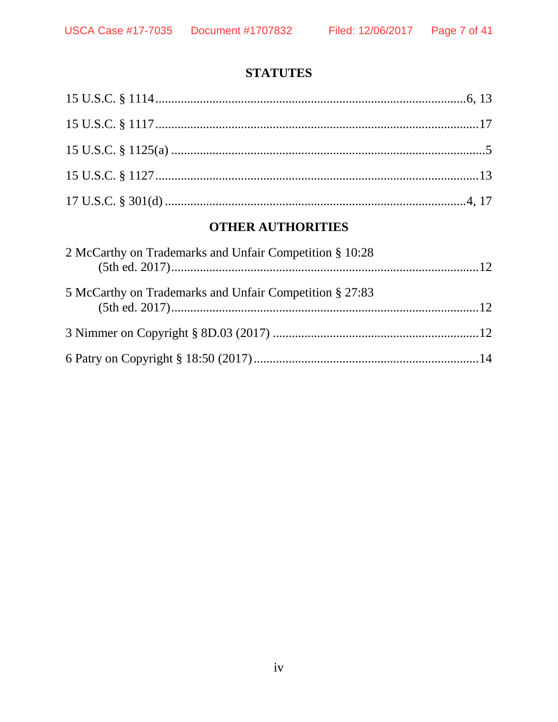# **STATUTES**

# **OTHER AUTHORITIES**

| 2 McCarthy on Trademarks and Unfair Competition § 10:28 |  |
|---------------------------------------------------------|--|
| 5 McCarthy on Trademarks and Unfair Competition § 27:83 |  |
|                                                         |  |
|                                                         |  |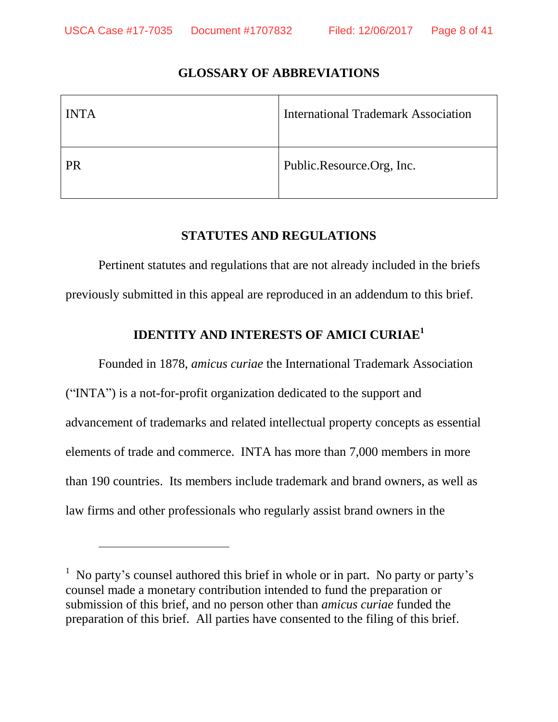$\overline{a}$ 

#### **GLOSSARY OF ABBREVIATIONS**

| <b>INTA</b> | <b>International Trademark Association</b> |
|-------------|--------------------------------------------|
| <b>PR</b>   | Public.Resource.Org, Inc.                  |

#### **STATUTES AND REGULATIONS**

Pertinent statutes and regulations that are not already included in the briefs previously submitted in this appeal are reproduced in an addendum to this brief.

# **IDENTITY AND INTERESTS OF AMICI CURIAE<sup>1</sup>**

Founded in 1878, *amicus curiae* the International Trademark Association ("INTA") is a not-for-profit organization dedicated to the support and advancement of trademarks and related intellectual property concepts as essential elements of trade and commerce. INTA has more than 7,000 members in more than 190 countries. Its members include trademark and brand owners, as well as law firms and other professionals who regularly assist brand owners in the

<sup>&</sup>lt;sup>1</sup> No party's counsel authored this brief in whole or in part. No party or party's counsel made a monetary contribution intended to fund the preparation or submission of this brief, and no person other than *amicus curiae* funded the preparation of this brief. All parties have consented to the filing of this brief.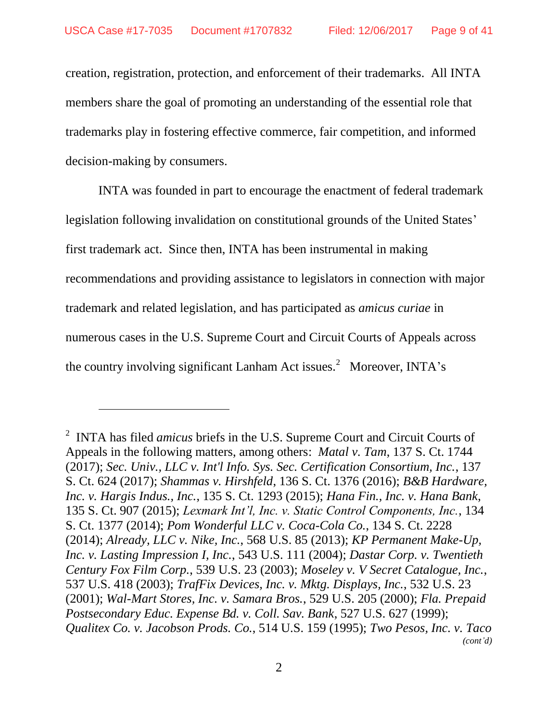creation, registration, protection, and enforcement of their trademarks. All INTA members share the goal of promoting an understanding of the essential role that trademarks play in fostering effective commerce, fair competition, and informed decision-making by consumers.

INTA was founded in part to encourage the enactment of federal trademark legislation following invalidation on constitutional grounds of the United States' first trademark act. Since then, INTA has been instrumental in making recommendations and providing assistance to legislators in connection with major trademark and related legislation, and has participated as *amicus curiae* in numerous cases in the U.S. Supreme Court and Circuit Courts of Appeals across the country involving significant Lanham Act issues. $2$  Moreover, INTA's

l

<sup>2</sup> INTA has filed *amicus* briefs in the U.S. Supreme Court and Circuit Courts of Appeals in the following matters, among others: *Matal v. Tam*, 137 S. Ct. 1744 (2017); *Sec. Univ., LLC v. Int'l Info. Sys. Sec. Certification Consortium, Inc.*, 137 S. Ct. 624 (2017); *Shammas v. Hirshfeld*, 136 S. Ct. 1376 (2016); *B&B Hardware, Inc. v. Hargis Indus., Inc.*, 135 S. Ct. 1293 (2015); *Hana Fin., Inc. v. Hana Bank*, 135 S. Ct. 907 (2015); *Lexmark Int'l, Inc. v. Static Control Components, Inc.*, 134 S. Ct. 1377 (2014); *Pom Wonderful LLC v. Coca-Cola Co.*, 134 S. Ct. 2228 (2014); *Already, LLC v. Nike, Inc.*, 568 U.S. 85 (2013); *KP Permanent Make-Up, Inc. v. Lasting Impression I, Inc.*, 543 U.S. 111 (2004); *Dastar Corp. v. Twentieth Century Fox Film Corp.*, 539 U.S. 23 (2003); *Moseley v. V Secret Catalogue, Inc.*, 537 U.S. 418 (2003); *TrafFix Devices, Inc. v. Mktg. Displays, Inc.*, 532 U.S. 23 (2001); *Wal-Mart Stores, Inc. v. Samara Bros.*, 529 U.S. 205 (2000); *Fla. Prepaid Postsecondary Educ. Expense Bd. v. Coll. Sav. Bank*, 527 U.S. 627 (1999); *Qualitex Co. v. Jacobson Prods. Co.*, 514 U.S. 159 (1995); *Two Pesos, Inc. v. Taco (cont'd)*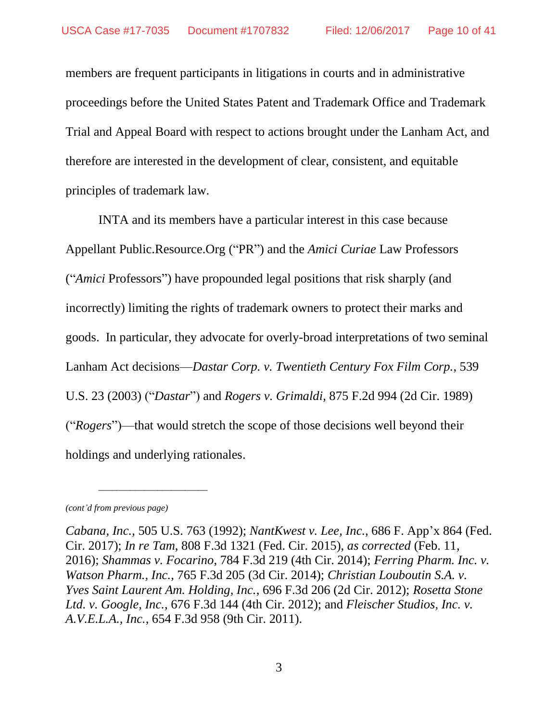members are frequent participants in litigations in courts and in administrative proceedings before the United States Patent and Trademark Office and Trademark Trial and Appeal Board with respect to actions brought under the Lanham Act, and therefore are interested in the development of clear, consistent, and equitable principles of trademark law.

INTA and its members have a particular interest in this case because Appellant Public.Resource.Org ("PR") and the *Amici Curiae* Law Professors ("*Amici* Professors") have propounded legal positions that risk sharply (and incorrectly) limiting the rights of trademark owners to protect their marks and goods. In particular, they advocate for overly-broad interpretations of two seminal Lanham Act decisions—*Dastar Corp. v. Twentieth Century Fox Film Corp.*, 539 U.S. 23 (2003) ("*Dastar*") and *Rogers v. Grimaldi*, 875 F.2d 994 (2d Cir. 1989) ("*Rogers*")—that would stretch the scope of those decisions well beyond their holdings and underlying rationales.

*(cont'd from previous page)*

*\_\_\_\_\_\_\_\_\_\_\_\_\_\_\_\_\_\_\_\_\_\_\_\_*

*Cabana, Inc.*, 505 U.S. 763 (1992); *NantKwest v. Lee, Inc.*, 686 F. App'x 864 (Fed. Cir. 2017); *In re Tam*, 808 F.3d 1321 (Fed. Cir. 2015), *as corrected* (Feb. 11, 2016); *Shammas v. Focarino*, 784 F.3d 219 (4th Cir. 2014); *Ferring Pharm. Inc. v. Watson Pharm., Inc.*, 765 F.3d 205 (3d Cir. 2014); *Christian Louboutin S.A. v. Yves Saint Laurent Am. Holding, Inc.*, 696 F.3d 206 (2d Cir. 2012); *Rosetta Stone Ltd. v. Google, Inc.*, 676 F.3d 144 (4th Cir. 2012); and *Fleischer Studios, Inc. v. A.V.E.L.A., Inc.*, 654 F.3d 958 (9th Cir. 2011).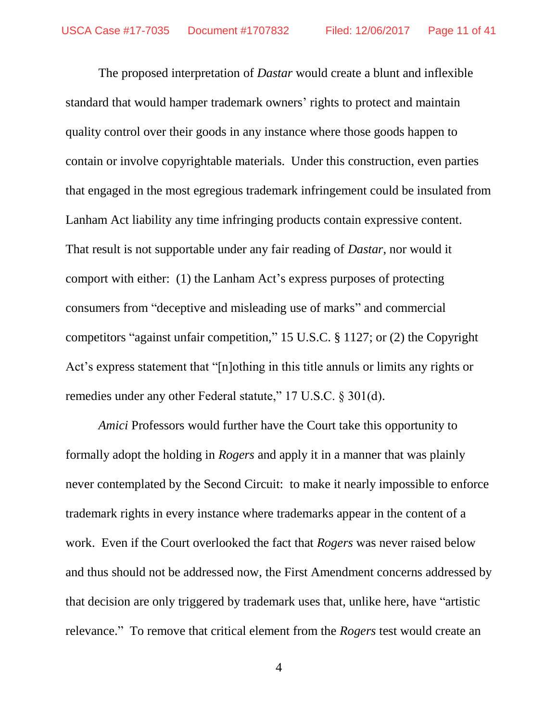The proposed interpretation of *Dastar* would create a blunt and inflexible standard that would hamper trademark owners' rights to protect and maintain quality control over their goods in any instance where those goods happen to contain or involve copyrightable materials. Under this construction, even parties that engaged in the most egregious trademark infringement could be insulated from Lanham Act liability any time infringing products contain expressive content. That result is not supportable under any fair reading of *Dastar*, nor would it comport with either: (1) the Lanham Act's express purposes of protecting consumers from "deceptive and misleading use of marks" and commercial competitors "against unfair competition," 15 U.S.C. § 1127; or (2) the Copyright Act's express statement that "[n]othing in this title annuls or limits any rights or remedies under any other Federal statute," 17 U.S.C. § 301(d).

*Amici* Professors would further have the Court take this opportunity to formally adopt the holding in *Rogers* and apply it in a manner that was plainly never contemplated by the Second Circuit: to make it nearly impossible to enforce trademark rights in every instance where trademarks appear in the content of a work. Even if the Court overlooked the fact that *Rogers* was never raised below and thus should not be addressed now, the First Amendment concerns addressed by that decision are only triggered by trademark uses that, unlike here, have "artistic relevance." To remove that critical element from the *Rogers* test would create an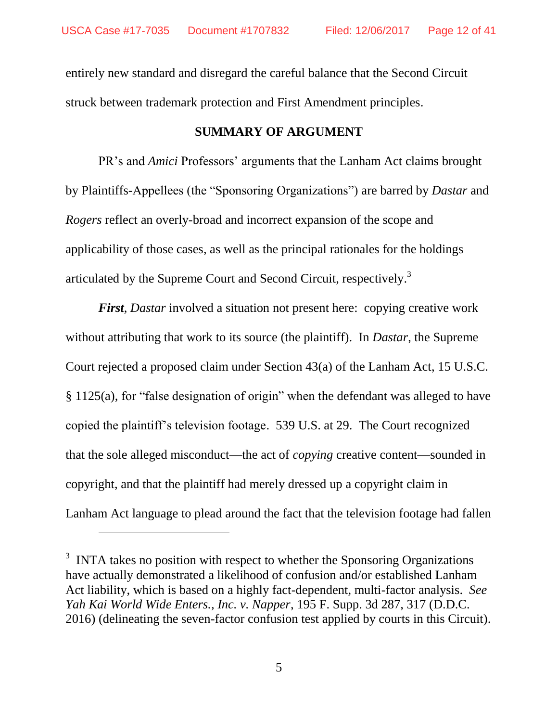entirely new standard and disregard the careful balance that the Second Circuit struck between trademark protection and First Amendment principles.

#### **SUMMARY OF ARGUMENT**

PR's and *Amici* Professors' arguments that the Lanham Act claims brought by Plaintiffs-Appellees (the "Sponsoring Organizations") are barred by *Dastar* and *Rogers* reflect an overly-broad and incorrect expansion of the scope and applicability of those cases, as well as the principal rationales for the holdings articulated by the Supreme Court and Second Circuit, respectively.<sup>3</sup>

*First*, *Dastar* involved a situation not present here: copying creative work without attributing that work to its source (the plaintiff). In *Dastar*, the Supreme Court rejected a proposed claim under Section 43(a) of the Lanham Act, 15 U.S.C. § 1125(a), for "false designation of origin" when the defendant was alleged to have copied the plaintiff's television footage. 539 U.S. at 29. The Court recognized that the sole alleged misconduct—the act of *copying* creative content—sounded in copyright, and that the plaintiff had merely dressed up a copyright claim in Lanham Act language to plead around the fact that the television footage had fallen

 $\overline{a}$ 

 $3$  INTA takes no position with respect to whether the Sponsoring Organizations have actually demonstrated a likelihood of confusion and/or established Lanham Act liability, which is based on a highly fact-dependent, multi-factor analysis. *See Yah Kai World Wide Enters., Inc. v. Napper*, 195 F. Supp. 3d 287, 317 (D.D.C. 2016) (delineating the seven-factor confusion test applied by courts in this Circuit).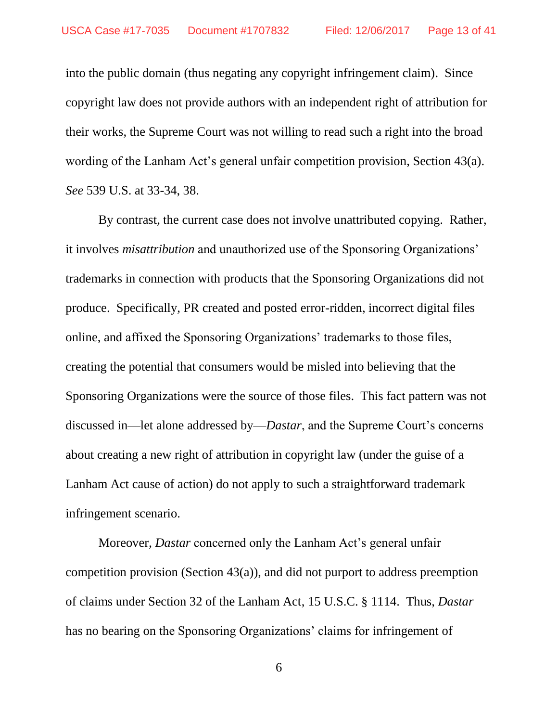into the public domain (thus negating any copyright infringement claim). Since copyright law does not provide authors with an independent right of attribution for their works, the Supreme Court was not willing to read such a right into the broad wording of the Lanham Act's general unfair competition provision, Section 43(a). *See* 539 U.S. at 33-34, 38.

By contrast, the current case does not involve unattributed copying. Rather, it involves *misattribution* and unauthorized use of the Sponsoring Organizations' trademarks in connection with products that the Sponsoring Organizations did not produce. Specifically, PR created and posted error-ridden, incorrect digital files online, and affixed the Sponsoring Organizations' trademarks to those files, creating the potential that consumers would be misled into believing that the Sponsoring Organizations were the source of those files. This fact pattern was not discussed in—let alone addressed by—*Dastar*, and the Supreme Court's concerns about creating a new right of attribution in copyright law (under the guise of a Lanham Act cause of action) do not apply to such a straightforward trademark infringement scenario.

Moreover, *Dastar* concerned only the Lanham Act's general unfair competition provision (Section 43(a)), and did not purport to address preemption of claims under Section 32 of the Lanham Act, 15 U.S.C. § 1114. Thus, *Dastar* has no bearing on the Sponsoring Organizations' claims for infringement of

6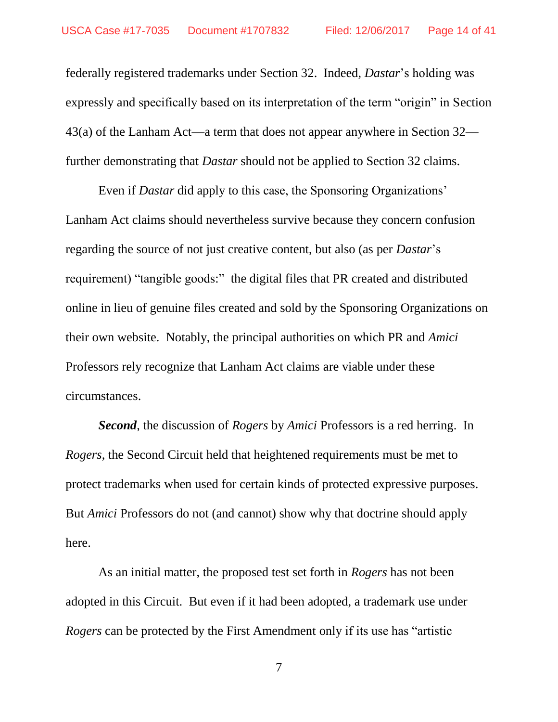federally registered trademarks under Section 32. Indeed, *Dastar*'s holding was expressly and specifically based on its interpretation of the term "origin" in Section 43(a) of the Lanham Act—a term that does not appear anywhere in Section 32 further demonstrating that *Dastar* should not be applied to Section 32 claims.

Even if *Dastar* did apply to this case, the Sponsoring Organizations' Lanham Act claims should nevertheless survive because they concern confusion regarding the source of not just creative content, but also (as per *Dastar*'s requirement) "tangible goods:" the digital files that PR created and distributed online in lieu of genuine files created and sold by the Sponsoring Organizations on their own website. Notably, the principal authorities on which PR and *Amici* Professors rely recognize that Lanham Act claims are viable under these circumstances.

*Second*, the discussion of *Rogers* by *Amici* Professors is a red herring. In *Rogers*, the Second Circuit held that heightened requirements must be met to protect trademarks when used for certain kinds of protected expressive purposes. But *Amici* Professors do not (and cannot) show why that doctrine should apply here.

As an initial matter, the proposed test set forth in *Rogers* has not been adopted in this Circuit. But even if it had been adopted, a trademark use under *Rogers* can be protected by the First Amendment only if its use has "artistic

7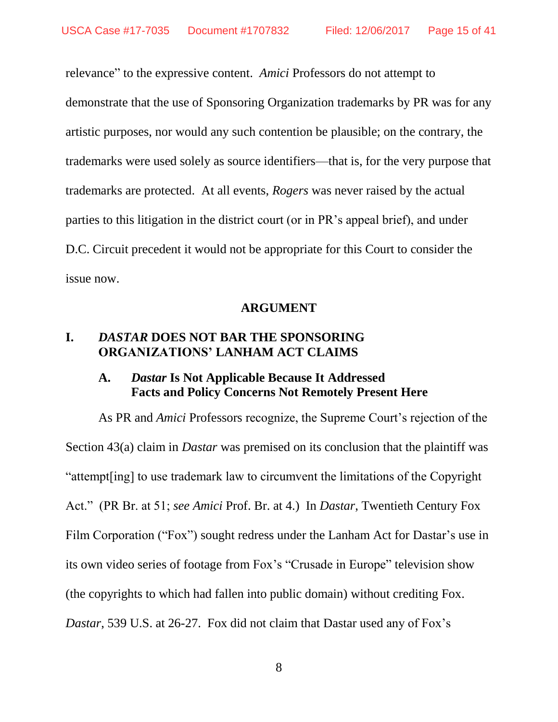relevance" to the expressive content. *Amici* Professors do not attempt to demonstrate that the use of Sponsoring Organization trademarks by PR was for any artistic purposes, nor would any such contention be plausible; on the contrary, the trademarks were used solely as source identifiers—that is, for the very purpose that trademarks are protected. At all events, *Rogers* was never raised by the actual parties to this litigation in the district court (or in PR's appeal brief), and under D.C. Circuit precedent it would not be appropriate for this Court to consider the issue now.

#### **ARGUMENT**

#### **I.** *DASTAR* **DOES NOT BAR THE SPONSORING ORGANIZATIONS' LANHAM ACT CLAIMS**

#### **A.** *Dastar* **Is Not Applicable Because It Addressed Facts and Policy Concerns Not Remotely Present Here**

As PR and *Amici* Professors recognize, the Supreme Court's rejection of the Section 43(a) claim in *Dastar* was premised on its conclusion that the plaintiff was "attempt[ing] to use trademark law to circumvent the limitations of the Copyright Act." (PR Br. at 51; *see Amici* Prof. Br. at 4.) In *Dastar*, Twentieth Century Fox Film Corporation ("Fox") sought redress under the Lanham Act for Dastar's use in its own video series of footage from Fox's "Crusade in Europe" television show (the copyrights to which had fallen into public domain) without crediting Fox. *Dastar*, 539 U.S. at 26-27. Fox did not claim that Dastar used any of Fox's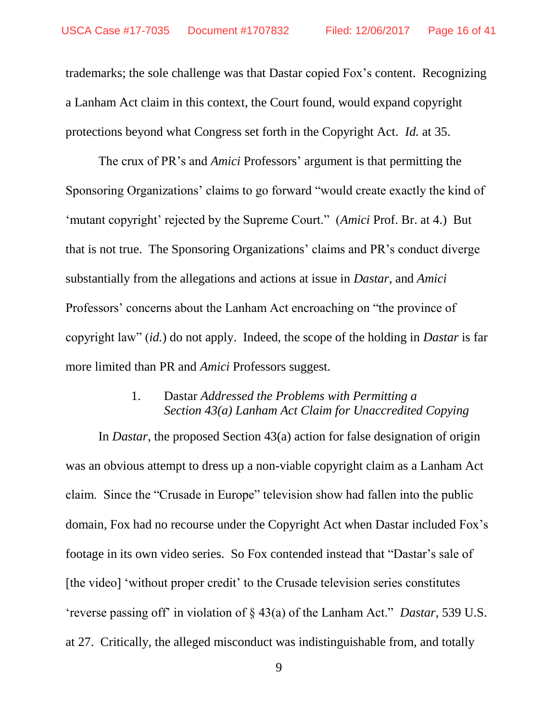trademarks; the sole challenge was that Dastar copied Fox's content. Recognizing a Lanham Act claim in this context, the Court found, would expand copyright protections beyond what Congress set forth in the Copyright Act. *Id.* at 35.

The crux of PR's and *Amici* Professors' argument is that permitting the Sponsoring Organizations' claims to go forward "would create exactly the kind of 'mutant copyright' rejected by the Supreme Court." (*Amici* Prof. Br. at 4.) But that is not true. The Sponsoring Organizations' claims and PR's conduct diverge substantially from the allegations and actions at issue in *Dastar*, and *Amici* Professors' concerns about the Lanham Act encroaching on "the province of copyright law" (*id.*) do not apply. Indeed, the scope of the holding in *Dastar* is far more limited than PR and *Amici* Professors suggest.

#### 1. Dastar *Addressed the Problems with Permitting a Section 43(a) Lanham Act Claim for Unaccredited Copying*

In *Dastar*, the proposed Section 43(a) action for false designation of origin was an obvious attempt to dress up a non-viable copyright claim as a Lanham Act claim. Since the "Crusade in Europe" television show had fallen into the public domain, Fox had no recourse under the Copyright Act when Dastar included Fox's footage in its own video series. So Fox contended instead that "Dastar's sale of [the video] 'without proper credit' to the Crusade television series constitutes 'reverse passing off' in violation of § 43(a) of the Lanham Act." *Dastar*, 539 U.S. at 27. Critically, the alleged misconduct was indistinguishable from, and totally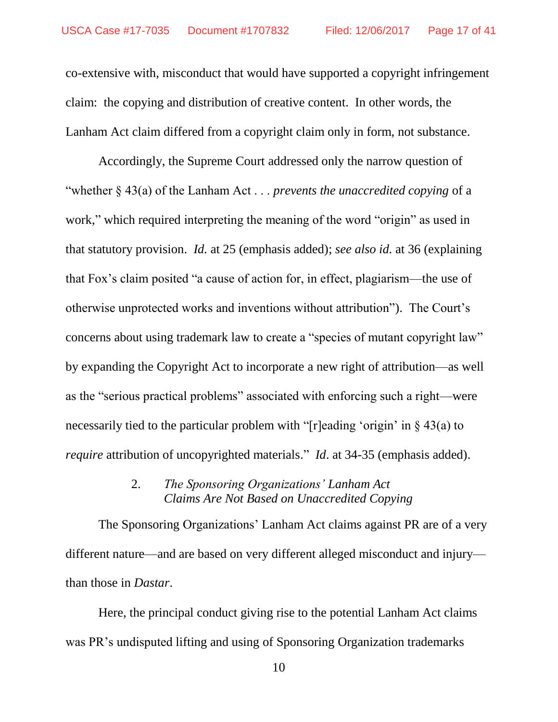co-extensive with, misconduct that would have supported a copyright infringement claim: the copying and distribution of creative content. In other words, the Lanham Act claim differed from a copyright claim only in form, not substance.

Accordingly, the Supreme Court addressed only the narrow question of "whether § 43(a) of the Lanham Act . . . *prevents the unaccredited copying* of a work," which required interpreting the meaning of the word "origin" as used in that statutory provision. *Id.* at 25 (emphasis added); *see also id.* at 36 (explaining that Fox's claim posited "a cause of action for, in effect, plagiarism—the use of otherwise unprotected works and inventions without attribution"). The Court's concerns about using trademark law to create a "species of mutant copyright law" by expanding the Copyright Act to incorporate a new right of attribution—as well as the "serious practical problems" associated with enforcing such a right—were necessarily tied to the particular problem with "[r]eading 'origin' in § 43(a) to *require* attribution of uncopyrighted materials." *Id.* at 34-35 (emphasis added).

#### 2. *The Sponsoring Organizations' Lanham Act Claims Are Not Based on Unaccredited Copying*

The Sponsoring Organizations' Lanham Act claims against PR are of a very different nature—and are based on very different alleged misconduct and injury than those in *Dastar*.

Here, the principal conduct giving rise to the potential Lanham Act claims was PR's undisputed lifting and using of Sponsoring Organization trademarks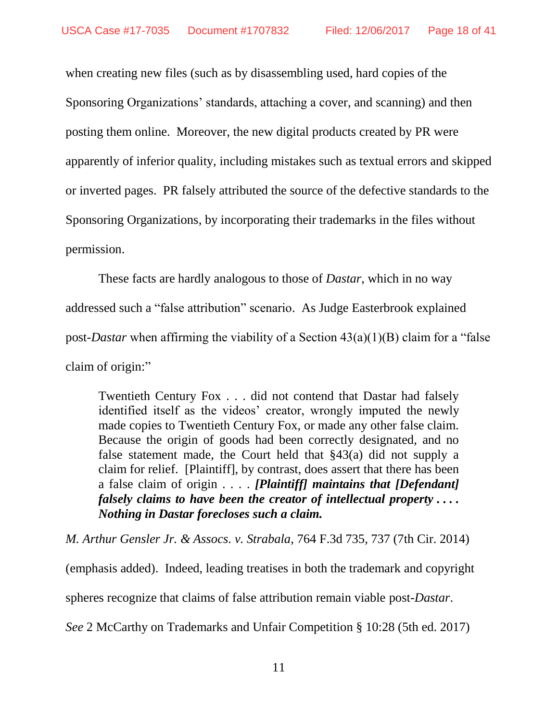when creating new files (such as by disassembling used, hard copies of the Sponsoring Organizations' standards, attaching a cover, and scanning) and then posting them online. Moreover, the new digital products created by PR were apparently of inferior quality, including mistakes such as textual errors and skipped or inverted pages. PR falsely attributed the source of the defective standards to the Sponsoring Organizations, by incorporating their trademarks in the files without permission.

These facts are hardly analogous to those of *Dastar*, which in no way addressed such a "false attribution" scenario. As Judge Easterbrook explained post-*Dastar* when affirming the viability of a Section 43(a)(1)(B) claim for a "false claim of origin:"

Twentieth Century Fox . . . did not contend that Dastar had falsely identified itself as the videos' creator, wrongly imputed the newly made copies to Twentieth Century Fox, or made any other false claim. Because the origin of goods had been correctly designated, and no false statement made, the Court held that §43(a) did not supply a claim for relief. [Plaintiff], by contrast, does assert that there has been a false claim of origin . . . . *[Plaintiff] maintains that [Defendant] falsely claims to have been the creator of intellectual property . . . . Nothing in Dastar forecloses such a claim.* 

*M. Arthur Gensler Jr. & Assocs. v. Strabala*, 764 F.3d 735, 737 (7th Cir. 2014) (emphasis added). Indeed, leading treatises in both the trademark and copyright spheres recognize that claims of false attribution remain viable post-*Dastar*. *See* 2 McCarthy on Trademarks and Unfair Competition § 10:28 (5th ed. 2017)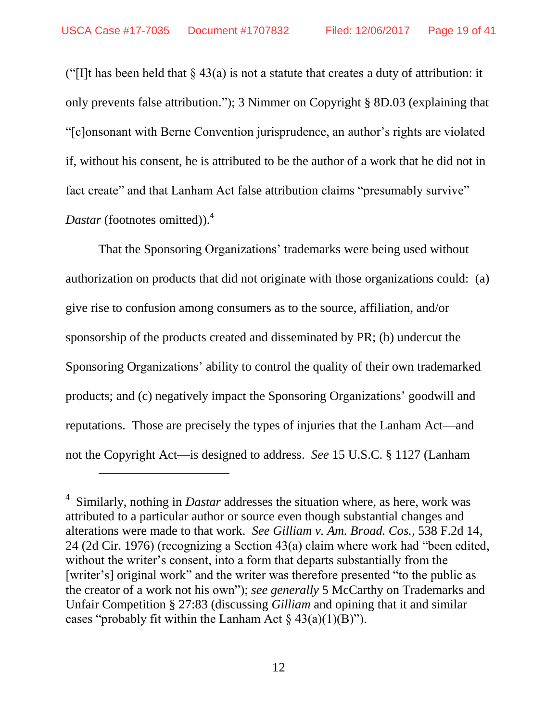l

("[I]t has been held that  $\S 43(a)$  is not a statute that creates a duty of attribution: it only prevents false attribution."); 3 Nimmer on Copyright § 8D.03 (explaining that "[c]onsonant with Berne Convention jurisprudence, an author's rights are violated if, without his consent, he is attributed to be the author of a work that he did not in fact create" and that Lanham Act false attribution claims "presumably survive" *Dastar* (footnotes omitted)).<sup>4</sup>

That the Sponsoring Organizations' trademarks were being used without authorization on products that did not originate with those organizations could: (a) give rise to confusion among consumers as to the source, affiliation, and/or sponsorship of the products created and disseminated by PR; (b) undercut the Sponsoring Organizations' ability to control the quality of their own trademarked products; and (c) negatively impact the Sponsoring Organizations' goodwill and reputations. Those are precisely the types of injuries that the Lanham Act—and not the Copyright Act—is designed to address. *See* 15 U.S.C. § 1127 (Lanham

<sup>4</sup> Similarly, nothing in *Dastar* addresses the situation where, as here, work was attributed to a particular author or source even though substantial changes and alterations were made to that work. *See Gilliam v. Am. Broad. Cos.*, 538 F.2d 14, 24 (2d Cir. 1976) (recognizing a Section 43(a) claim where work had "been edited, without the writer's consent, into a form that departs substantially from the [writer's] original work" and the writer was therefore presented "to the public as the creator of a work not his own"); *see generally* 5 McCarthy on Trademarks and Unfair Competition § 27:83 (discussing *Gilliam* and opining that it and similar cases "probably fit within the Lanham Act  $\S$  43(a)(1)(B)").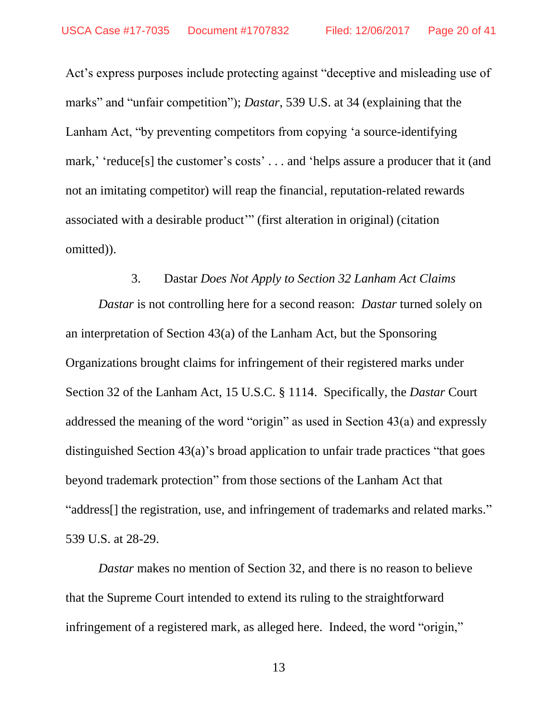Act's express purposes include protecting against "deceptive and misleading use of marks" and "unfair competition"); *Dastar*, 539 U.S. at 34 (explaining that the Lanham Act, "by preventing competitors from copying 'a source-identifying mark,' 'reduce[s] the customer's costs' . . . and 'helps assure a producer that it (and not an imitating competitor) will reap the financial, reputation-related rewards associated with a desirable product'" (first alteration in original) (citation omitted)).

#### 3. Dastar *Does Not Apply to Section 32 Lanham Act Claims*

*Dastar* is not controlling here for a second reason: *Dastar* turned solely on an interpretation of Section 43(a) of the Lanham Act, but the Sponsoring Organizations brought claims for infringement of their registered marks under Section 32 of the Lanham Act, 15 U.S.C. § 1114. Specifically, the *Dastar* Court addressed the meaning of the word "origin" as used in Section 43(a) and expressly distinguished Section 43(a)'s broad application to unfair trade practices "that goes beyond trademark protection" from those sections of the Lanham Act that "address[] the registration, use, and infringement of trademarks and related marks." 539 U.S. at 28-29.

*Dastar* makes no mention of Section 32, and there is no reason to believe that the Supreme Court intended to extend its ruling to the straightforward infringement of a registered mark, as alleged here. Indeed, the word "origin,"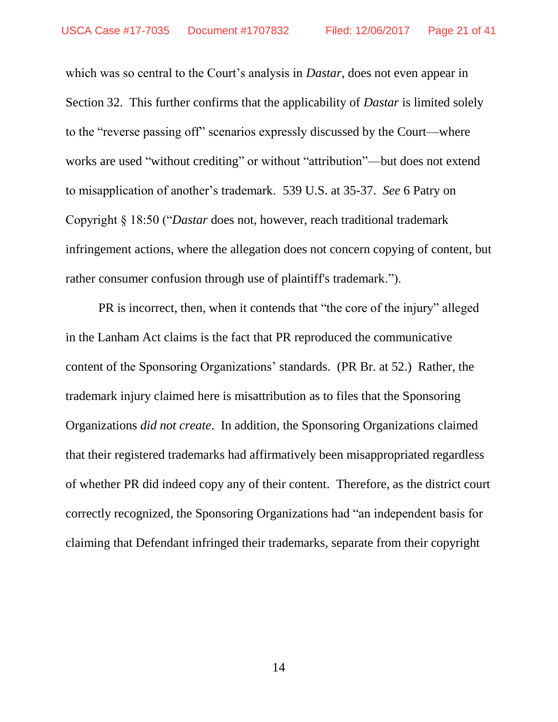which was so central to the Court's analysis in *Dastar*, does not even appear in Section 32. This further confirms that the applicability of *Dastar* is limited solely to the "reverse passing off" scenarios expressly discussed by the Court—where works are used "without crediting" or without "attribution"—but does not extend to misapplication of another's trademark. 539 U.S. at 35-37. *See* 6 Patry on Copyright § 18:50 ("*Dastar* does not, however, reach traditional trademark infringement actions, where the allegation does not concern copying of content, but rather consumer confusion through use of plaintiff's trademark.").

PR is incorrect, then, when it contends that "the core of the injury" alleged in the Lanham Act claims is the fact that PR reproduced the communicative content of the Sponsoring Organizations' standards. (PR Br. at 52.) Rather, the trademark injury claimed here is misattribution as to files that the Sponsoring Organizations *did not create*. In addition, the Sponsoring Organizations claimed that their registered trademarks had affirmatively been misappropriated regardless of whether PR did indeed copy any of their content. Therefore, as the district court correctly recognized, the Sponsoring Organizations had "an independent basis for claiming that Defendant infringed their trademarks, separate from their copyright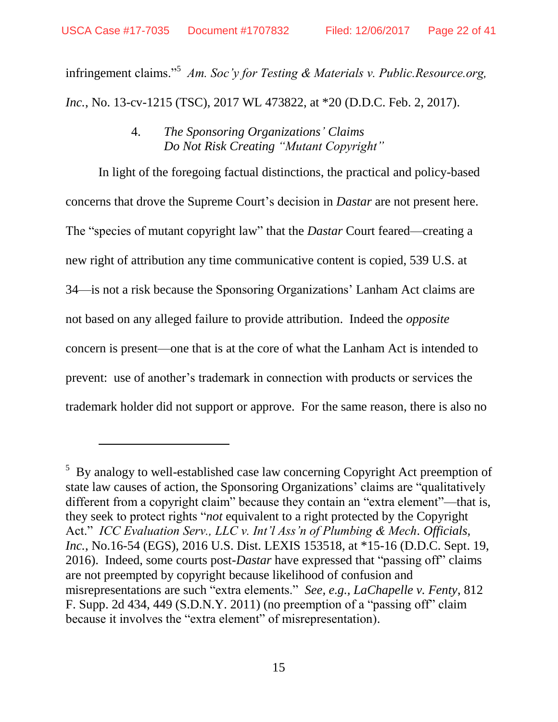l

infringement claims."<sup>5</sup> *Am. Soc'y for Testing & Materials v. Public.Resource.org, Inc.*, No. 13-cv-1215 (TSC), 2017 WL 473822, at \*20 (D.D.C. Feb. 2, 2017).

#### 4. *The Sponsoring Organizations' Claims Do Not Risk Creating "Mutant Copyright"*

In light of the foregoing factual distinctions, the practical and policy-based concerns that drove the Supreme Court's decision in *Dastar* are not present here. The "species of mutant copyright law" that the *Dastar* Court feared—creating a new right of attribution any time communicative content is copied, 539 U.S. at 34—is not a risk because the Sponsoring Organizations' Lanham Act claims are not based on any alleged failure to provide attribution. Indeed the *opposite* concern is present—one that is at the core of what the Lanham Act is intended to prevent: use of another's trademark in connection with products or services the trademark holder did not support or approve. For the same reason, there is also no

<sup>&</sup>lt;sup>5</sup> By analogy to well-established case law concerning Copyright Act preemption of state law causes of action, the Sponsoring Organizations' claims are "qualitatively different from a copyright claim" because they contain an "extra element"—that is, they seek to protect rights "*not* equivalent to a right protected by the Copyright Act." *ICC Evaluation Serv., LLC v. Int'l Ass'n of Plumbing & Mech. Officials, Inc.*, No.16-54 (EGS), 2016 U.S. Dist. LEXIS 153518, at \*15-16 (D.D.C. Sept. 19, 2016). Indeed, some courts post-*Dastar* have expressed that "passing off" claims are not preempted by copyright because likelihood of confusion and misrepresentations are such "extra elements." *See, e.g., LaChapelle v. Fenty*, 812 F. Supp. 2d 434, 449 (S.D.N.Y. 2011) (no preemption of a "passing off" claim because it involves the "extra element" of misrepresentation).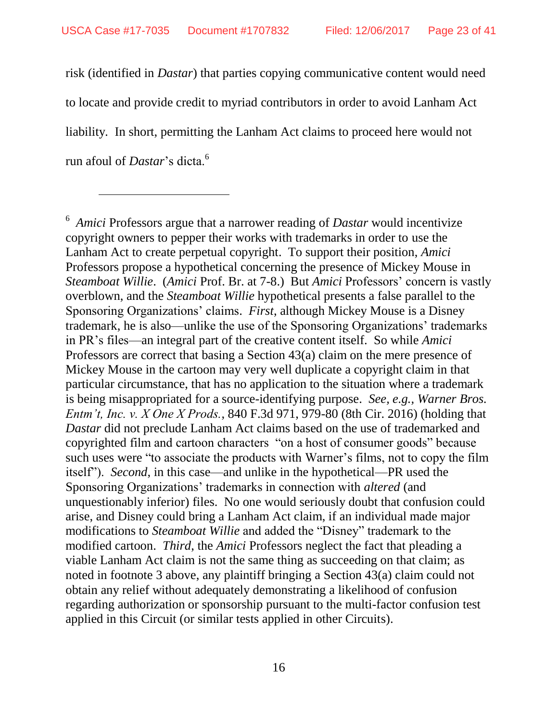l

risk (identified in *Dastar*) that parties copying communicative content would need to locate and provide credit to myriad contributors in order to avoid Lanham Act liability*.* In short, permitting the Lanham Act claims to proceed here would not run afoul of *Dastar*'s dicta.<sup>6</sup>

<sup>6</sup> Amici Professors argue that a narrower reading of *Dastar* would incentivize copyright owners to pepper their works with trademarks in order to use the Lanham Act to create perpetual copyright. To support their position, *Amici* Professors propose a hypothetical concerning the presence of Mickey Mouse in *Steamboat Willie*. (*Amici* Prof. Br. at 7-8.) But *Amici* Professors' concern is vastly overblown, and the *Steamboat Willie* hypothetical presents a false parallel to the Sponsoring Organizations' claims. *First*, although Mickey Mouse is a Disney trademark, he is also—unlike the use of the Sponsoring Organizations' trademarks in PR's files—an integral part of the creative content itself. So while *Amici*  Professors are correct that basing a Section 43(a) claim on the mere presence of Mickey Mouse in the cartoon may very well duplicate a copyright claim in that particular circumstance, that has no application to the situation where a trademark is being misappropriated for a source-identifying purpose. *See, e.g., Warner Bros. Entm't, Inc. v. X One X Prods.*, 840 F.3d 971, 979-80 (8th Cir. 2016) (holding that *Dastar* did not preclude Lanham Act claims based on the use of trademarked and copyrighted film and cartoon characters "on a host of consumer goods" because such uses were "to associate the products with Warner's films, not to copy the film itself"). *Second*, in this case—and unlike in the hypothetical—PR used the Sponsoring Organizations' trademarks in connection with *altered* (and unquestionably inferior) files. No one would seriously doubt that confusion could arise, and Disney could bring a Lanham Act claim, if an individual made major modifications to *Steamboat Willie* and added the "Disney" trademark to the modified cartoon. *Third*, the *Amici* Professors neglect the fact that pleading a viable Lanham Act claim is not the same thing as succeeding on that claim; as noted in footnote 3 above, any plaintiff bringing a Section 43(a) claim could not obtain any relief without adequately demonstrating a likelihood of confusion regarding authorization or sponsorship pursuant to the multi-factor confusion test applied in this Circuit (or similar tests applied in other Circuits).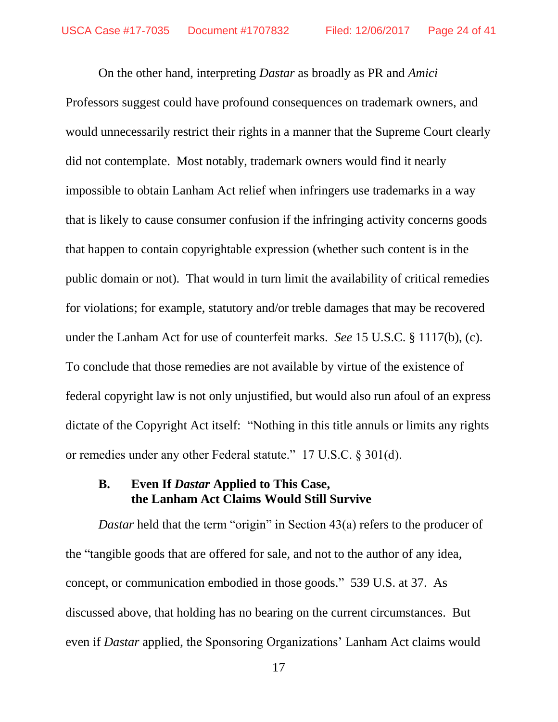On the other hand, interpreting *Dastar* as broadly as PR and *Amici*  Professors suggest could have profound consequences on trademark owners, and would unnecessarily restrict their rights in a manner that the Supreme Court clearly did not contemplate. Most notably, trademark owners would find it nearly impossible to obtain Lanham Act relief when infringers use trademarks in a way that is likely to cause consumer confusion if the infringing activity concerns goods that happen to contain copyrightable expression (whether such content is in the public domain or not). That would in turn limit the availability of critical remedies for violations; for example, statutory and/or treble damages that may be recovered under the Lanham Act for use of counterfeit marks. *See* 15 U.S.C. § 1117(b), (c). To conclude that those remedies are not available by virtue of the existence of federal copyright law is not only unjustified, but would also run afoul of an express dictate of the Copyright Act itself: "Nothing in this title annuls or limits any rights or remedies under any other Federal statute." 17 U.S.C. § 301(d).

#### **B. Even If** *Dastar* **Applied to This Case, the Lanham Act Claims Would Still Survive**

*Dastar* held that the term "origin" in Section 43(a) refers to the producer of the "tangible goods that are offered for sale, and not to the author of any idea, concept, or communication embodied in those goods." 539 U.S. at 37. As discussed above, that holding has no bearing on the current circumstances. But even if *Dastar* applied, the Sponsoring Organizations' Lanham Act claims would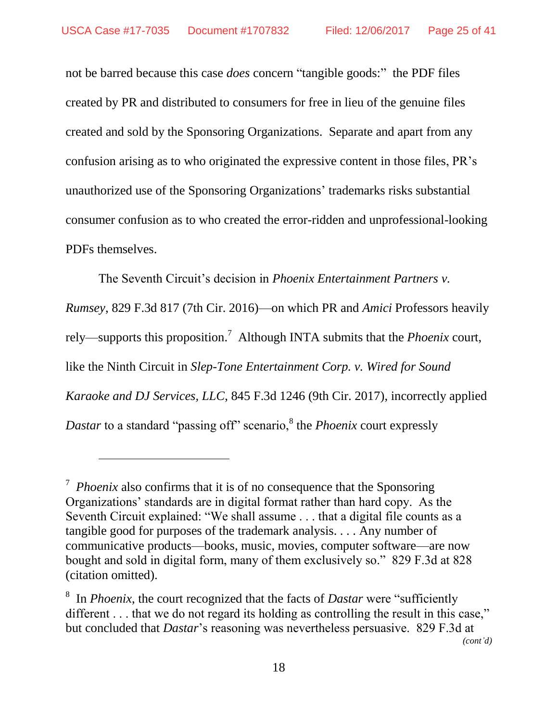not be barred because this case *does* concern "tangible goods:" the PDF files created by PR and distributed to consumers for free in lieu of the genuine files created and sold by the Sponsoring Organizations. Separate and apart from any confusion arising as to who originated the expressive content in those files, PR's unauthorized use of the Sponsoring Organizations' trademarks risks substantial consumer confusion as to who created the error-ridden and unprofessional-looking PDFs themselves.

The Seventh Circuit's decision in *Phoenix Entertainment Partners v.* 

*Rumsey*, 829 F.3d 817 (7th Cir. 2016)—on which PR and *Amici* Professors heavily rely—supports this proposition.<sup>7</sup> Although INTA submits that the *Phoenix* court, like the Ninth Circuit in *Slep-Tone Entertainment Corp. v. Wired for Sound Karaoke and DJ Services, LLC*, 845 F.3d 1246 (9th Cir. 2017), incorrectly applied *Dastar* to a standard "passing off" scenario,<sup>8</sup> the *Phoenix* court expressly

l

*(cont'd)*

<sup>&</sup>lt;sup>7</sup> Phoenix also confirms that it is of no consequence that the Sponsoring Organizations' standards are in digital format rather than hard copy. As the Seventh Circuit explained: "We shall assume . . . that a digital file counts as a tangible good for purposes of the trademark analysis. . . . Any number of communicative products—books, music, movies, computer software—are now bought and sold in digital form, many of them exclusively so." 829 F.3d at 828 (citation omitted).

<sup>8</sup> In *Phoenix*, the court recognized that the facts of *Dastar* were "sufficiently different . . . that we do not regard its holding as controlling the result in this case," but concluded that *Dastar*'s reasoning was nevertheless persuasive. 829 F.3d at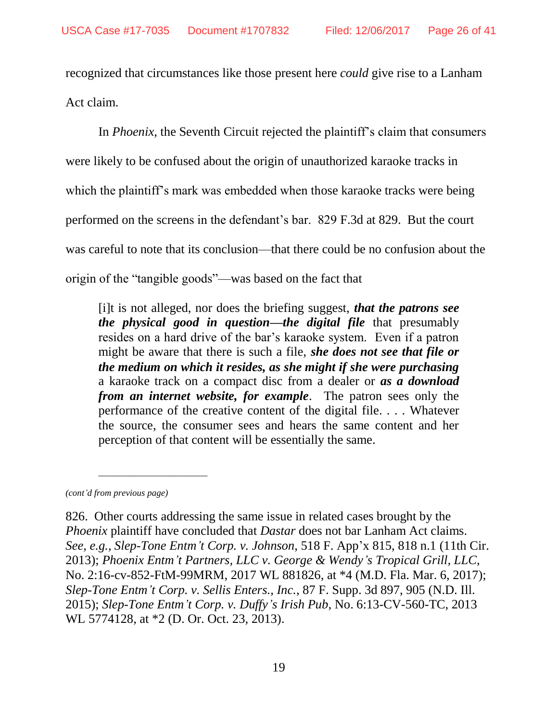recognized that circumstances like those present here *could* give rise to a Lanham Act claim.

In *Phoenix*, the Seventh Circuit rejected the plaintiff's claim that consumers were likely to be confused about the origin of unauthorized karaoke tracks in which the plaintiff's mark was embedded when those karaoke tracks were being performed on the screens in the defendant's bar. 829 F.3d at 829. But the court was careful to note that its conclusion—that there could be no confusion about the origin of the "tangible goods"—was based on the fact that

[i]t is not alleged, nor does the briefing suggest, *that the patrons see the physical good in question—the digital file* that presumably resides on a hard drive of the bar's karaoke system. Even if a patron might be aware that there is such a file, *she does not see that file or the medium on which it resides, as she might if she were purchasing* a karaoke track on a compact disc from a dealer or *as a download from an internet website, for example*. The patron sees only the performance of the creative content of the digital file. . . . Whatever the source, the consumer sees and hears the same content and her perception of that content will be essentially the same.

*(cont'd from previous page)*

*\_\_\_\_\_\_\_\_\_\_\_\_\_\_\_\_\_\_\_\_\_\_\_\_*

<sup>826.</sup> Other courts addressing the same issue in related cases brought by the *Phoenix* plaintiff have concluded that *Dastar* does not bar Lanham Act claims. *See, e.g., Slep-Tone Entm't Corp. v. Johnson*, 518 F. App'x 815, 818 n.1 (11th Cir. 2013); *Phoenix Entm't Partners, LLC v. George & Wendy's Tropical Grill, LLC*, No. 2:16-cv-852-FtM-99MRM, 2017 WL 881826, at \*4 (M.D. Fla. Mar. 6, 2017); *Slep-Tone Entm't Corp. v. Sellis Enters., Inc.*, 87 F. Supp. 3d 897, 905 (N.D. Ill. 2015); *Slep-Tone Entm't Corp. v. Duffy's Irish Pub*, No. 6:13-CV-560-TC, 2013 WL 5774128, at \*2 (D. Or. Oct. 23, 2013).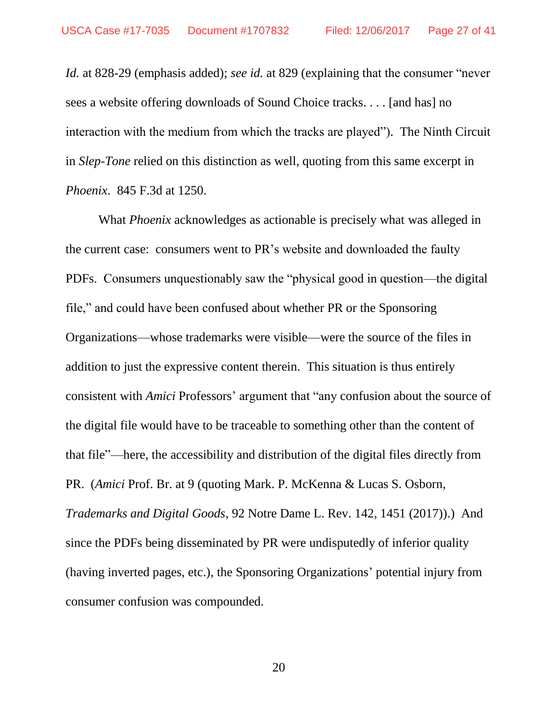*Id.* at 828-29 (emphasis added); *see id.* at 829 (explaining that the consumer "never sees a website offering downloads of Sound Choice tracks. . . . [and has] no interaction with the medium from which the tracks are played"). The Ninth Circuit in *Slep-Tone* relied on this distinction as well, quoting from this same excerpt in *Phoenix*. 845 F.3d at 1250.

What *Phoenix* acknowledges as actionable is precisely what was alleged in the current case: consumers went to PR's website and downloaded the faulty PDFs. Consumers unquestionably saw the "physical good in question—the digital file," and could have been confused about whether PR or the Sponsoring Organizations—whose trademarks were visible—were the source of the files in addition to just the expressive content therein. This situation is thus entirely consistent with *Amici* Professors' argument that "any confusion about the source of the digital file would have to be traceable to something other than the content of that file"—here, the accessibility and distribution of the digital files directly from PR. (*Amici* Prof. Br. at 9 (quoting Mark. P. McKenna & Lucas S. Osborn*, Trademarks and Digital Goods*, 92 Notre Dame L. Rev. 142, 1451 (2017)).) And since the PDFs being disseminated by PR were undisputedly of inferior quality (having inverted pages, etc.), the Sponsoring Organizations' potential injury from consumer confusion was compounded.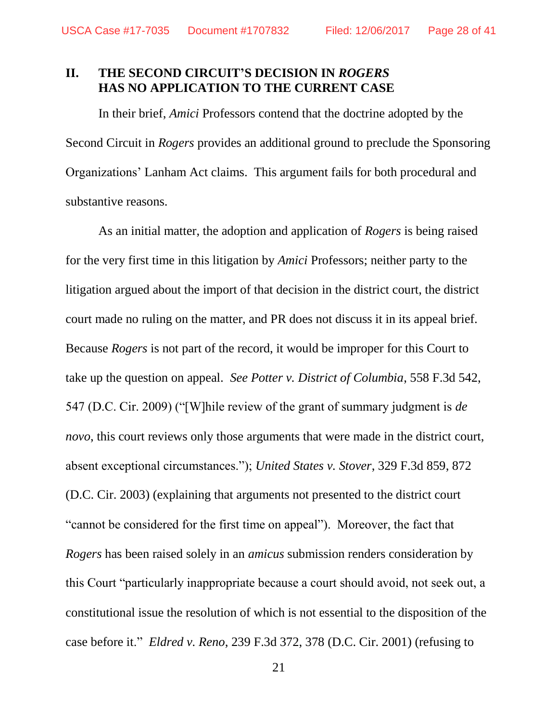#### **II. THE SECOND CIRCUIT'S DECISION IN** *ROGERS* **HAS NO APPLICATION TO THE CURRENT CASE**

In their brief, *Amici* Professors contend that the doctrine adopted by the Second Circuit in *Rogers* provides an additional ground to preclude the Sponsoring Organizations' Lanham Act claims. This argument fails for both procedural and substantive reasons.

As an initial matter, the adoption and application of *Rogers* is being raised for the very first time in this litigation by *Amici* Professors; neither party to the litigation argued about the import of that decision in the district court, the district court made no ruling on the matter, and PR does not discuss it in its appeal brief. Because *Rogers* is not part of the record, it would be improper for this Court to take up the question on appeal. *See Potter v. District of Columbia*, 558 F.3d 542, 547 (D.C. Cir. 2009) ("[W]hile review of the grant of summary judgment is *de novo*, this court reviews only those arguments that were made in the district court, absent exceptional circumstances."); *United States v. Stover*, 329 F.3d 859, 872 (D.C. Cir. 2003) (explaining that arguments not presented to the district court "cannot be considered for the first time on appeal"). Moreover, the fact that *Rogers* has been raised solely in an *amicus* submission renders consideration by this Court "particularly inappropriate because a court should avoid, not seek out, a constitutional issue the resolution of which is not essential to the disposition of the case before it." *Eldred v. Reno*, 239 F.3d 372, 378 (D.C. Cir. 2001) (refusing to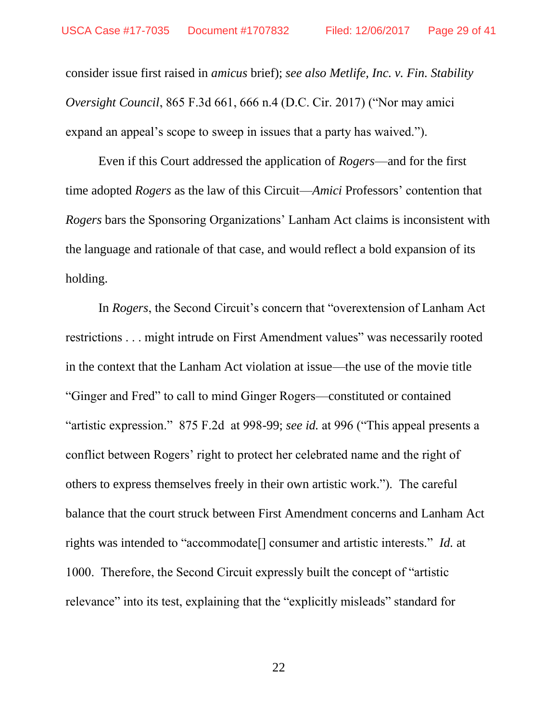consider issue first raised in *amicus* brief); *see also Metlife, Inc. v. Fin. Stability Oversight Council*, 865 F.3d 661, 666 n.4 (D.C. Cir. 2017) ("Nor may amici expand an appeal's scope to sweep in issues that a party has waived.").

Even if this Court addressed the application of *Rogers*—and for the first time adopted *Rogers* as the law of this Circuit—*Amici* Professors' contention that *Rogers* bars the Sponsoring Organizations' Lanham Act claims is inconsistent with the language and rationale of that case, and would reflect a bold expansion of its holding.

In *Rogers*, the Second Circuit's concern that "overextension of Lanham Act restrictions . . . might intrude on First Amendment values" was necessarily rooted in the context that the Lanham Act violation at issue—the use of the movie title "Ginger and Fred" to call to mind Ginger Rogers—constituted or contained "artistic expression." 875 F.2d at 998-99; *see id.* at 996 ("This appeal presents a conflict between Rogers' right to protect her celebrated name and the right of others to express themselves freely in their own artistic work."). The careful balance that the court struck between First Amendment concerns and Lanham Act rights was intended to "accommodate[] consumer and artistic interests." *Id.* at 1000. Therefore, the Second Circuit expressly built the concept of "artistic relevance" into its test, explaining that the "explicitly misleads" standard for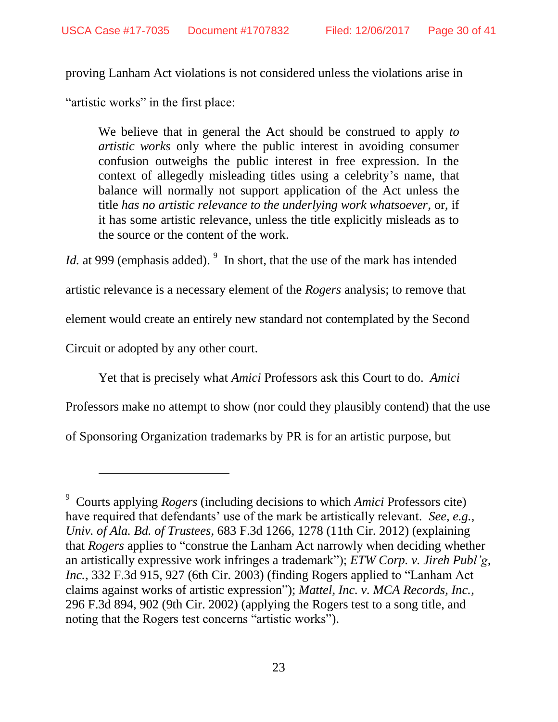proving Lanham Act violations is not considered unless the violations arise in

"artistic works" in the first place:

We believe that in general the Act should be construed to apply *to artistic works* only where the public interest in avoiding consumer confusion outweighs the public interest in free expression. In the context of allegedly misleading titles using a celebrity's name, that balance will normally not support application of the Act unless the title *has no artistic relevance to the underlying work whatsoever*, or, if it has some artistic relevance, unless the title explicitly misleads as to the source or the content of the work.

*Id.* at 999 (emphasis added). <sup>9</sup> In short, that the use of the mark has intended

artistic relevance is a necessary element of the *Rogers* analysis; to remove that

element would create an entirely new standard not contemplated by the Second

Circuit or adopted by any other court.

l

Yet that is precisely what *Amici* Professors ask this Court to do. *Amici*

Professors make no attempt to show (nor could they plausibly contend) that the use

of Sponsoring Organization trademarks by PR is for an artistic purpose, but

<sup>9</sup> Courts applying *Rogers* (including decisions to which *Amici* Professors cite) have required that defendants' use of the mark be artistically relevant. *See, e.g., Univ. of Ala. Bd. of Trustees*, 683 F.3d 1266, 1278 (11th Cir. 2012) (explaining that *Rogers* applies to "construe the Lanham Act narrowly when deciding whether an artistically expressive work infringes a trademark"); *ETW Corp. v. Jireh Publ'g, Inc.*, 332 F.3d 915, 927 (6th Cir. 2003) (finding Rogers applied to "Lanham Act claims against works of artistic expression"); *Mattel, Inc. v. MCA Records, Inc.*, 296 F.3d 894, 902 (9th Cir. 2002) (applying the Rogers test to a song title, and noting that the Rogers test concerns "artistic works").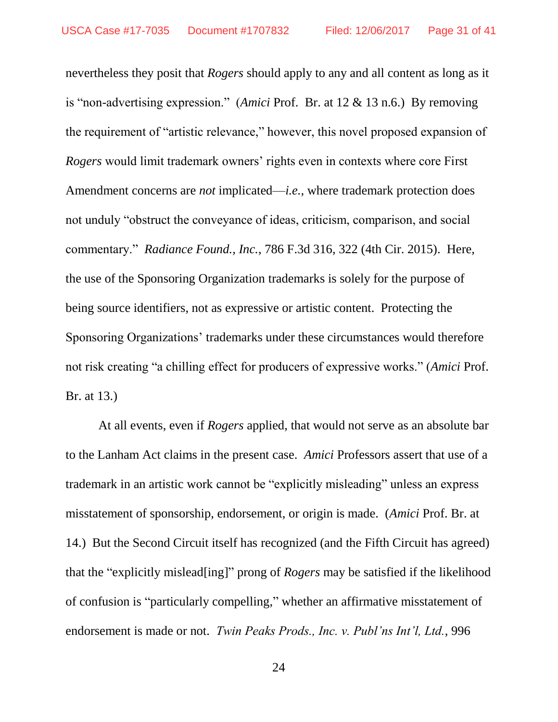nevertheless they posit that *Rogers* should apply to any and all content as long as it is "non-advertising expression." (*Amici* Prof. Br. at 12 & 13 n.6.) By removing the requirement of "artistic relevance," however, this novel proposed expansion of *Rogers* would limit trademark owners' rights even in contexts where core First Amendment concerns are *not* implicated—*i.e.,* where trademark protection does not unduly "obstruct the conveyance of ideas, criticism, comparison, and social commentary." *Radiance Found., Inc.*, 786 F.3d 316, 322 (4th Cir. 2015). Here, the use of the Sponsoring Organization trademarks is solely for the purpose of being source identifiers, not as expressive or artistic content. Protecting the Sponsoring Organizations' trademarks under these circumstances would therefore not risk creating "a chilling effect for producers of expressive works." (*Amici* Prof. Br. at 13.)

At all events, even if *Rogers* applied, that would not serve as an absolute bar to the Lanham Act claims in the present case. *Amici* Professors assert that use of a trademark in an artistic work cannot be "explicitly misleading" unless an express misstatement of sponsorship, endorsement, or origin is made. (*Amici* Prof. Br. at 14.) But the Second Circuit itself has recognized (and the Fifth Circuit has agreed) that the "explicitly mislead[ing]" prong of *Rogers* may be satisfied if the likelihood of confusion is "particularly compelling," whether an affirmative misstatement of endorsement is made or not. *Twin Peaks Prods., Inc. v. Publ'ns Int'l, Ltd.*, 996

24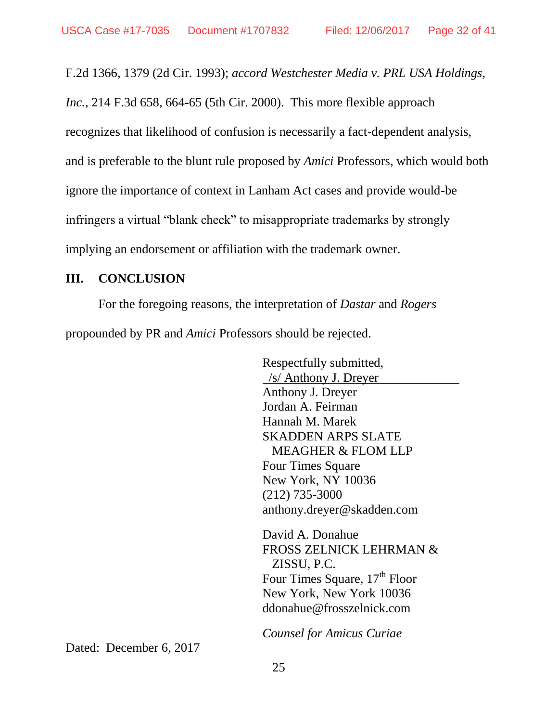F.2d 1366, 1379 (2d Cir. 1993); *accord Westchester Media v. PRL USA Holdings,* 

*Inc.*, 214 F.3d 658, 664-65 (5th Cir. 2000). This more flexible approach recognizes that likelihood of confusion is necessarily a fact-dependent analysis, and is preferable to the blunt rule proposed by *Amici* Professors, which would both ignore the importance of context in Lanham Act cases and provide would-be infringers a virtual "blank check" to misappropriate trademarks by strongly implying an endorsement or affiliation with the trademark owner.

#### **III. CONCLUSION**

For the foregoing reasons, the interpretation of *Dastar* and *Rogers* propounded by PR and *Amici* Professors should be rejected.

> Respectfully submitted, /s/ Anthony J. Dreyer Anthony J. Dreyer Jordan A. Feirman Hannah M. Marek SKADDEN ARPS SLATE MEAGHER & FLOM LLP Four Times Square New York, NY 10036 (212) 735-3000 anthony.dreyer@skadden.com

David A. Donahue FROSS ZELNICK LEHRMAN & ZISSU, P.C. Four Times Square,  $17<sup>th</sup>$  Floor New York, New York 10036 ddonahue@frosszelnick.com

*Counsel for Amicus Curiae*

Dated: December 6, 2017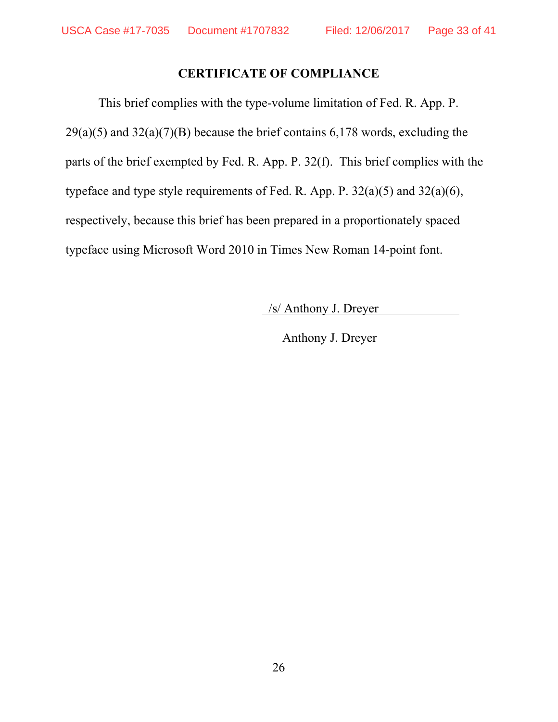#### **CERTIFICATE OF COMPLIANCE**

This brief complies with the type-volume limitation of Fed. R. App. P.  $29(a)(5)$  and  $32(a)(7)(B)$  because the brief contains 6,178 words, excluding the parts of the brief exempted by Fed. R. App. P. 32(f). This brief complies with the typeface and type style requirements of Fed. R. App. P. 32(a)(5) and 32(a)(6), respectively, because this brief has been prepared in a proportionately spaced typeface using Microsoft Word 2010 in Times New Roman 14-point font.

/s/ Anthony J. Dreyer

Anthony J. Dreyer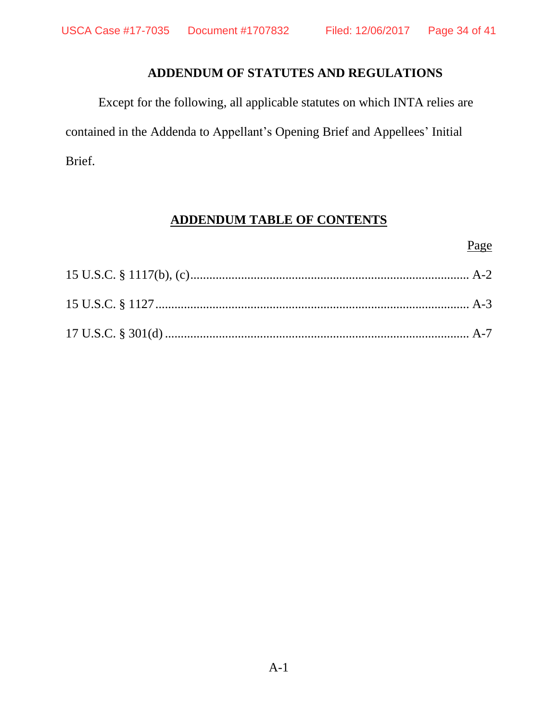# **ADDENDUM OF STATUTES AND REGULATIONS**

Except for the following, all applicable statutes on which INTA relies are contained in the Addenda to Appellant's Opening Brief and Appellees' Initial Brief.

### **ADDENDUM TABLE OF CONTENTS**

Page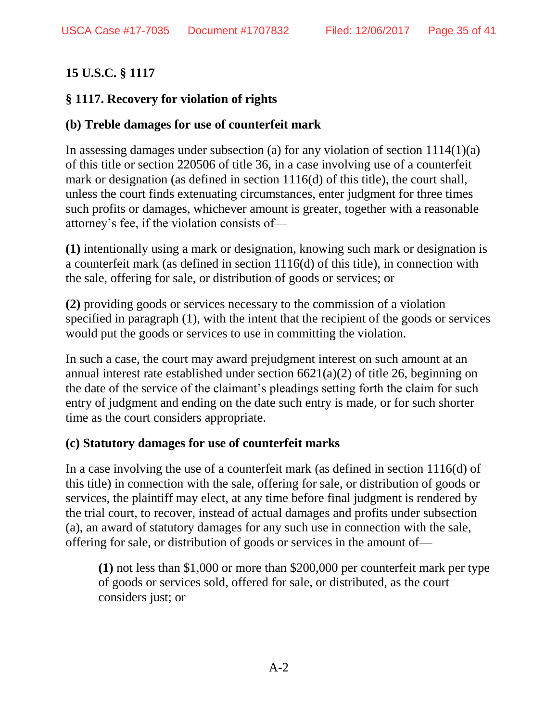# **15 U.S.C. § 1117**

# **§ 1117. Recovery for violation of rights**

### **(b) Treble damages for use of counterfeit mark**

In assessing damages under subsection (a) for any violation of section  $1114(1)(a)$ of this title or section 220506 of title 36, in a case involving use of a counterfeit mark or designation (as defined in section 1116(d) of this title), the court shall, unless the court finds extenuating circumstances, enter judgment for three times such profits or damages, whichever amount is greater, together with a reasonable attorney's fee, if the violation consists of—

**(1)** intentionally using a mark or designation, knowing such mark or designation is a counterfeit mark (as defined in section 1116(d) of this title), in connection with the sale, offering for sale, or distribution of goods or services; or

**(2)** providing goods or services necessary to the commission of a violation specified in paragraph (1), with the intent that the recipient of the goods or services would put the goods or services to use in committing the violation.

In such a case, the court may award prejudgment interest on such amount at an annual interest rate established under section 6621(a)(2) of title 26, beginning on the date of the service of the claimant's pleadings setting forth the claim for such entry of judgment and ending on the date such entry is made, or for such shorter time as the court considers appropriate.

#### **(c) Statutory damages for use of counterfeit marks**

In a case involving the use of a counterfeit mark (as defined in section 1116(d) of this title) in connection with the sale, offering for sale, or distribution of goods or services, the plaintiff may elect, at any time before final judgment is rendered by the trial court, to recover, instead of actual damages and profits under subsection (a), an award of statutory damages for any such use in connection with the sale, offering for sale, or distribution of goods or services in the amount of—

**(1)** not less than \$1,000 or more than \$200,000 per counterfeit mark per type of goods or services sold, offered for sale, or distributed, as the court considers just; or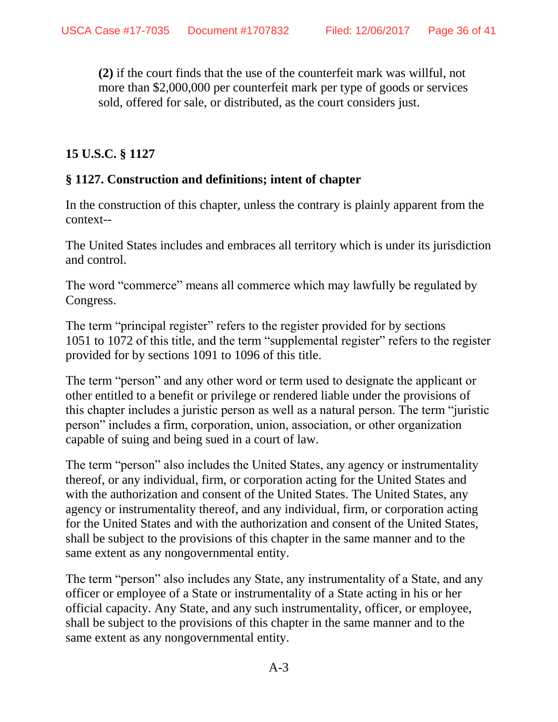**(2)** if the court finds that the use of the counterfeit mark was willful, not more than \$2,000,000 per counterfeit mark per type of goods or services sold, offered for sale, or distributed, as the court considers just.

#### **15 U.S.C. § 1127**

#### **§ 1127. Construction and definitions; intent of chapter**

In the construction of this chapter, unless the contrary is plainly apparent from the context--

The United States includes and embraces all territory which is under its jurisdiction and control.

The word "commerce" means all commerce which may lawfully be regulated by Congress.

The term "principal register" refers to the register provided for by sections 1051 to 1072 of this title, and the term "supplemental register" refers to the register provided for by sections 1091 to 1096 of this title.

The term "person" and any other word or term used to designate the applicant or other entitled to a benefit or privilege or rendered liable under the provisions of this chapter includes a juristic person as well as a natural person. The term "juristic person" includes a firm, corporation, union, association, or other organization capable of suing and being sued in a court of law.

The term "person" also includes the United States, any agency or instrumentality thereof, or any individual, firm, or corporation acting for the United States and with the authorization and consent of the United States. The United States, any agency or instrumentality thereof, and any individual, firm, or corporation acting for the United States and with the authorization and consent of the United States, shall be subject to the provisions of this chapter in the same manner and to the same extent as any nongovernmental entity.

The term "person" also includes any State, any instrumentality of a State, and any officer or employee of a State or instrumentality of a State acting in his or her official capacity. Any State, and any such instrumentality, officer, or employee, shall be subject to the provisions of this chapter in the same manner and to the same extent as any nongovernmental entity.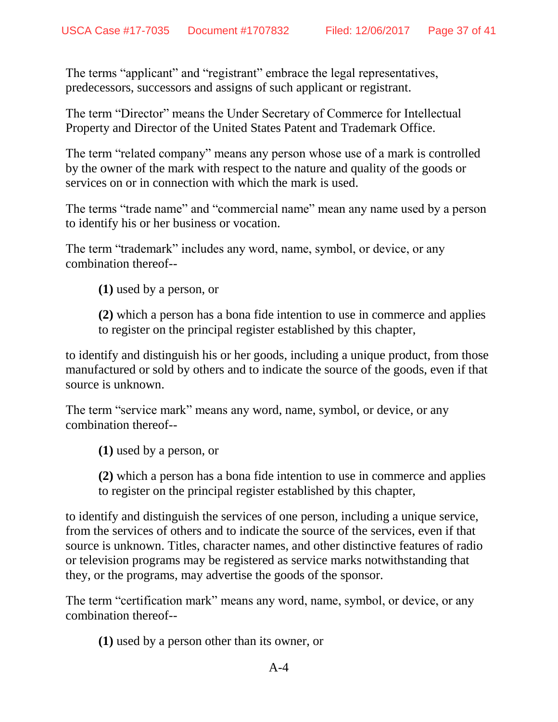The terms "applicant" and "registrant" embrace the legal representatives, predecessors, successors and assigns of such applicant or registrant.

The term "Director" means the Under Secretary of Commerce for Intellectual Property and Director of the United States Patent and Trademark Office.

The term "related company" means any person whose use of a mark is controlled by the owner of the mark with respect to the nature and quality of the goods or services on or in connection with which the mark is used.

The terms "trade name" and "commercial name" mean any name used by a person to identify his or her business or vocation.

The term "trademark" includes any word, name, symbol, or device, or any combination thereof--

**(1)** used by a person, or

**(2)** which a person has a bona fide intention to use in commerce and applies to register on the principal register established by this chapter,

to identify and distinguish his or her goods, including a unique product, from those manufactured or sold by others and to indicate the source of the goods, even if that source is unknown.

The term "service mark" means any word, name, symbol, or device, or any combination thereof--

**(1)** used by a person, or

**(2)** which a person has a bona fide intention to use in commerce and applies to register on the principal register established by this chapter,

to identify and distinguish the services of one person, including a unique service, from the services of others and to indicate the source of the services, even if that source is unknown. Titles, character names, and other distinctive features of radio or television programs may be registered as service marks notwithstanding that they, or the programs, may advertise the goods of the sponsor.

The term "certification mark" means any word, name, symbol, or device, or any combination thereof--

**(1)** used by a person other than its owner, or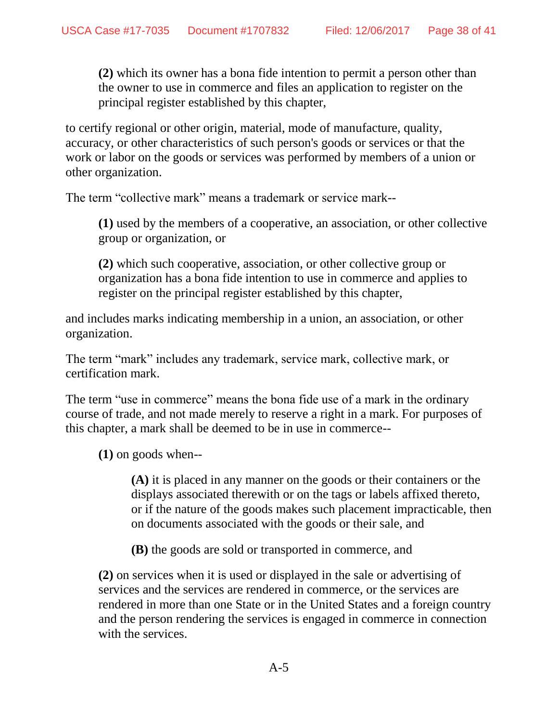**(2)** which its owner has a bona fide intention to permit a person other than the owner to use in commerce and files an application to register on the principal register established by this chapter,

to certify regional or other origin, material, mode of manufacture, quality, accuracy, or other characteristics of such person's goods or services or that the work or labor on the goods or services was performed by members of a union or other organization.

The term "collective mark" means a trademark or service mark--

**(1)** used by the members of a cooperative, an association, or other collective group or organization, or

**(2)** which such cooperative, association, or other collective group or organization has a bona fide intention to use in commerce and applies to register on the principal register established by this chapter,

and includes marks indicating membership in a union, an association, or other organization.

The term "mark" includes any trademark, service mark, collective mark, or certification mark.

The term "use in commerce" means the bona fide use of a mark in the ordinary course of trade, and not made merely to reserve a right in a mark. For purposes of this chapter, a mark shall be deemed to be in use in commerce--

**(1)** on goods when--

**(A)** it is placed in any manner on the goods or their containers or the displays associated therewith or on the tags or labels affixed thereto, or if the nature of the goods makes such placement impracticable, then on documents associated with the goods or their sale, and

**(B)** the goods are sold or transported in commerce, and

**(2)** on services when it is used or displayed in the sale or advertising of services and the services are rendered in commerce, or the services are rendered in more than one State or in the United States and a foreign country and the person rendering the services is engaged in commerce in connection with the services.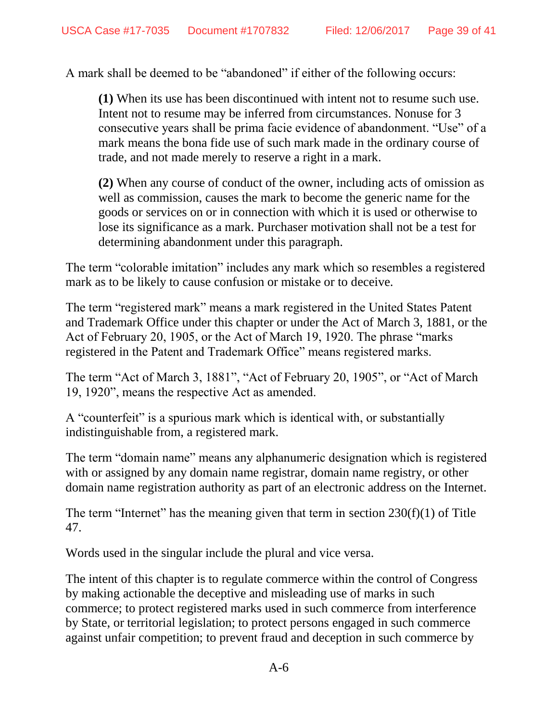A mark shall be deemed to be "abandoned" if either of the following occurs:

**(1)** When its use has been discontinued with intent not to resume such use. Intent not to resume may be inferred from circumstances. Nonuse for 3 consecutive years shall be prima facie evidence of abandonment. "Use" of a mark means the bona fide use of such mark made in the ordinary course of trade, and not made merely to reserve a right in a mark.

**(2)** When any course of conduct of the owner, including acts of omission as well as commission, causes the mark to become the generic name for the goods or services on or in connection with which it is used or otherwise to lose its significance as a mark. Purchaser motivation shall not be a test for determining abandonment under this paragraph.

The term "colorable imitation" includes any mark which so resembles a registered mark as to be likely to cause confusion or mistake or to deceive.

The term "registered mark" means a mark registered in the United States Patent and Trademark Office under this chapter or under the Act of March 3, 1881, or the Act of February 20, 1905, or the Act of March 19, 1920. The phrase "marks registered in the Patent and Trademark Office" means registered marks.

The term "Act of March 3, 1881", "Act of February 20, 1905", or "Act of March 19, 1920", means the respective Act as amended.

A "counterfeit" is a spurious mark which is identical with, or substantially indistinguishable from, a registered mark.

The term "domain name" means any alphanumeric designation which is registered with or assigned by any domain name registrar, domain name registry, or other domain name registration authority as part of an electronic address on the Internet.

The term "Internet" has the meaning given that term in section  $230(f)(1)$  of Title 47.

Words used in the singular include the plural and vice versa.

The intent of this chapter is to regulate commerce within the control of Congress by making actionable the deceptive and misleading use of marks in such commerce; to protect registered marks used in such commerce from interference by State, or territorial legislation; to protect persons engaged in such commerce against unfair competition; to prevent fraud and deception in such commerce by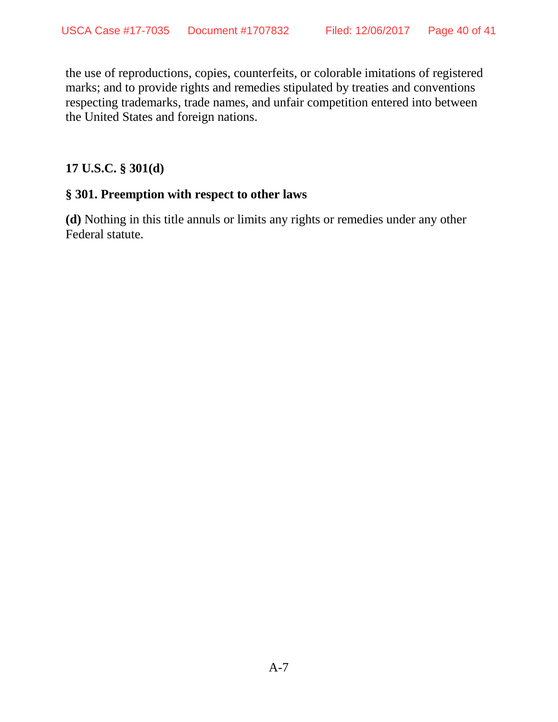the use of reproductions, copies, counterfeits, or colorable imitations of registered marks; and to provide rights and remedies stipulated by treaties and conventions respecting trademarks, trade names, and unfair competition entered into between the United States and foreign nations.

#### **17 U.S.C. § 301(d)**

#### **§ 301. Preemption with respect to other laws**

**(d)** Nothing in this title annuls or limits any rights or remedies under any other Federal statute.